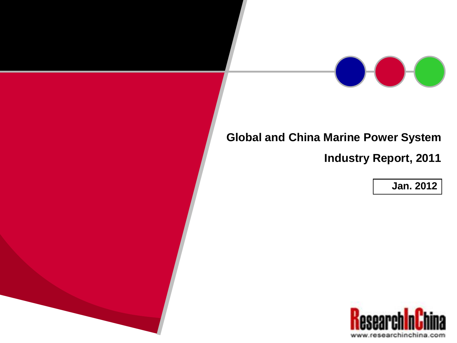### **Global and China Marine Power System**

**Industry Report, 2011**

**Jan. 2012**

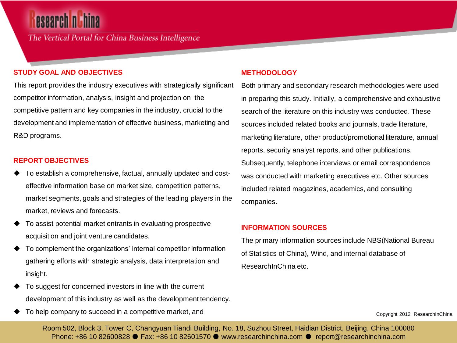## **esearch nich**

The Vertical Portal for China Business Intelligence

#### **STUDY GOAL AND OBJECTIVES**

This report provides the industry executives with strategically significant competitor information, analysis, insight and projection on the competitive pattern and key companies in the industry, crucial to the development and implementation of effective business, marketing and R&D programs.

#### **REPORT OBJECTIVES**

- To establish a comprehensive, factual, annually updated and costeffective information base on market size, competition patterns, market segments, goals and strategies of the leading players in the market, reviews and forecasts.
- To assist potential market entrants in evaluating prospective acquisition and joint venture candidates.
- To complement the organizations' internal competitor information gathering efforts with strategic analysis, data interpretation and insight.
- To suggest for concerned investors in line with the current development of this industry as well as the development tendency.
- To help company to succeed in a competitive market, and

#### **METHODOLOGY**

Both primary and secondary research methodologies were used in preparing this study. Initially, a comprehensive and exhaustive search of the literature on this industry was conducted. These sources included related books and journals, trade literature, marketing literature, other product/promotional literature, annual reports, security analyst reports, and other publications. Subsequently, telephone interviews or email correspondence was conducted with marketing executives etc. Other sources included related magazines, academics, and consulting companies.

#### **INFORMATION SOURCES**

The primary information sources include NBS(National Bureau of Statistics of China), Wind, and internal database of ResearchInChina etc.

Copyright 2012 ResearchInChina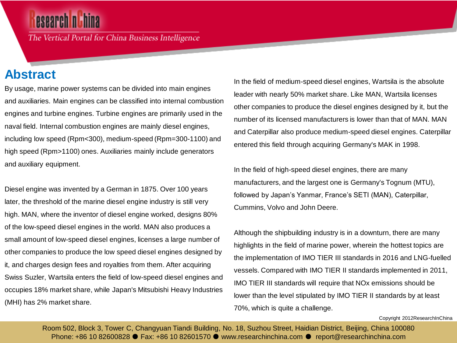The Vertical Portal for China Business Intelligence

### **Abstract**

By usage, marine power systems can be divided into main engines and auxiliaries. Main engines can be classified into internal combustion engines and turbine engines. Turbine engines are primarily used in the naval field. Internal combustion engines are mainly diesel engines, including low speed (Rpm<300), medium-speed (Rpm=300-1100) and high speed (Rpm>1100) ones. Auxiliaries mainly include generators and auxiliary equipment.

Diesel engine was invented by a German in 1875. Over 100 years later, the threshold of the marine diesel engine industry is still very high. MAN, where the inventor of diesel engine worked, designs 80% of the low-speed diesel engines in the world. MAN also produces a small amount of low-speed diesel engines, licenses a large number of other companies to produce the low speed diesel engines designed by it, and charges design fees and royalties from them. After acquiring Swiss Suzler, Wartsila enters the field of low-speed diesel engines and occupies 18% market share, while Japan's Mitsubishi Heavy Industries (MHI) has 2% market share.

In the field of medium-speed diesel engines, Wartsila is the absolute leader with nearly 50% market share. Like MAN, Wartsila licenses other companies to produce the diesel engines designed by it, but the number of its licensed manufacturers is lower than that of MAN. MAN and Caterpillar also produce medium-speed diesel engines. Caterpillar entered this field through acquiring Germany's MAK in 1998.

In the field of high-speed diesel engines, there are many manufacturers, and the largest one is Germany's Tognum (MTU), followed by Japan's Yanmar, France's SETI (MAN), Caterpillar, Cummins, Volvo and John Deere.

Although the shipbuilding industry is in a downturn, there are many highlights in the field of marine power, wherein the hottest topics are the implementation of IMO TIER III standards in 2016 and LNG-fuelled vessels. Compared with IMO TIER II standards implemented in 2011, IMO TIER III standards will require that NOx emissions should be lower than the level stipulated by IMO TIER II standards by at least 70%, which is quite a challenge.

Copyright 2012ResearchInChina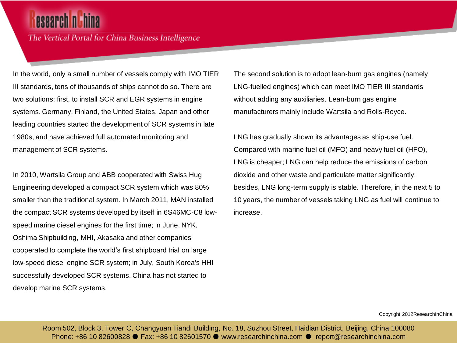## esearch ni

The Vertical Portal for China Business Intelligence

In the world, only a small number of vessels comply with IMO TIER III standards, tens of thousands of ships cannot do so. There are two solutions: first, to install SCR and EGR systems in engine systems. Germany, Finland, the United States, Japan and other leading countries started the development of SCR systems in late 1980s, and have achieved full automated monitoring and management of SCR systems.

In 2010, Wartsila Group and ABB cooperated with Swiss Hug Engineering developed a compact SCR system which was 80% smaller than the traditional system. In March 2011, MAN installed the compact SCR systems developed by itself in 6S46MC-C8 lowspeed marine diesel engines for the first time; in June, NYK, Oshima Shipbuilding, MHI, Akasaka and other companies cooperated to complete the world's first shipboard trial on large low-speed diesel engine SCR system; in July, South Korea's HHI successfully developed SCR systems. China has not started to develop marine SCR systems.

The second solution is to adopt lean-burn gas engines (namely LNG-fuelled engines) which can meet IMO TIER III standards without adding any auxiliaries. Lean-burn gas engine manufacturers mainly include Wartsila and Rolls-Royce.

LNG has gradually shown its advantages as ship-use fuel. Compared with marine fuel oil (MFO) and heavy fuel oil (HFO), LNG is cheaper; LNG can help reduce the emissions of carbon dioxide and other waste and particulate matter significantly; besides, LNG long-term supply is stable. Therefore, in the next 5 to 10 years, the number of vessels taking LNG as fuel will continue to increase.

Copyright 2012ResearchInChina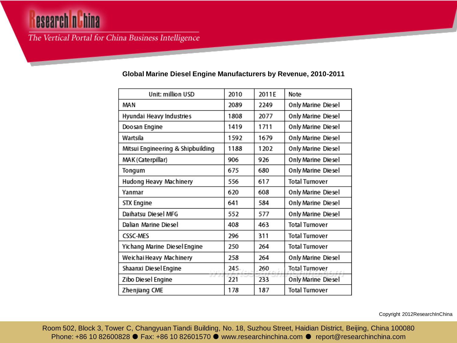# **esearch n Lhina**

### The Vertical Portal for China Business Intelligence

| Unit: million USD                 | 2010 | 2011E | Note                  |  |
|-----------------------------------|------|-------|-----------------------|--|
| MAN                               | 2089 | 2249  | Only Marine Diesel    |  |
| Hyundai Heavy Industries          | 1808 | 2077  | Only Marine Diesel    |  |
| Doosan Engine                     | 1419 | 1711  | Only Marine Diesel    |  |
| Wartsila                          | 1592 | 1679  | Only Marine Diesel    |  |
| Mitsui Engineering & Shipbuilding | 1188 | 1202  | Only Marine Diesel    |  |
| MAK (Caterpillar)                 | 906  | 926   | Only Marine Diesel    |  |
| Tongum                            | 675  | 680   | Only Marine Diesel    |  |
| Hudong Heavy Machinery            | 556  | 617   | Total Turnover        |  |
| Yanmar                            | 620  | 608   | Only Marine Diesel    |  |
| <b>STX Engine</b>                 | 641  | 584   | Only Marine Diesel    |  |
| Daihatsu Diesel MFG               | 552  | 577   | Only Marine Diesel    |  |
| Dalian Marine Diesel              | 408  | 463   | <b>Total Turnover</b> |  |
| <b>CSSC-MES</b>                   | 296  | 311   | <b>Total Turnover</b> |  |
| Yichang Marine Diesel Engine      | 250  | 264   | Total Turnover        |  |
| Weichai Heavy Machinery           | 258  | 264   | Only Marine Diesel    |  |
| Shaanxi Diesel Engine<br>1,121.   | 245  | 260   | Total Turnover        |  |
| コココ<br>Zibo Diesel Engine         | 221  | 233   | Only Marine Diesel    |  |
| Zhenjiang CME                     | 178  | 187   | <b>Total Turnover</b> |  |

#### **Global Marine Diesel Engine Manufacturers by Revenue, 2010-2011**

Copyright 2012ResearchInChina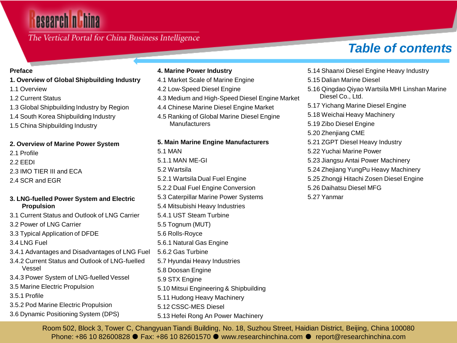### The Vertical Portal for China Business Intelligence

## *Table of contents*

#### **Preface**

- **1. Overview of Global Shipbuilding Industry**
- 1.1 Overview
- 1.2 Current Status
- 1.3 Global Shipbuilding Industry by Region
- 1.4 South Korea Shipbuilding Industry
- 1.5 China Shipbuilding Industry

#### **2. Overview of Marine Power System**

- 2.1 Profile
- 2.2 EEDI
- 2.3 IMO TIER III and ECA
- 2.4 SCR and EGR

#### **3. LNG-fuelled Power System and Electric Propulsion**

- 3.1 Current Status and Outlook of LNG Carrier
- 3.2 Power of LNG Carrier
- 3.3 Typical Application of DFDE
- 3.4 LNG Fuel
- 3.4.1 Advantages and Disadvantages of LNG Fuel
- 3.4.2 Current Status and Outlook of LNG-fuelled Vessel
- 3.4.3 Power System of LNG-fuelled Vessel
- 3.5 Marine Electric Propulsion
- 3.5.1 Profile
- 3.5.2 Pod Marine Electric Propulsion
- 3.6 Dynamic Positioning System (DPS)

#### **4. Marine Power Industry**

- 4.1 Market Scale of Marine Engine
- 4.2 Low-Speed Diesel Engine
- 4.3 Medium and High-Speed Diesel Engine Market
- 4.4 Chinese Marine Diesel Engine Market
- 4.5 Ranking of Global Marine Diesel Engine **Manufacturers**

#### **5. Main Marine Engine Manufacturers**

5.1 MAN 5.1.1 MAN ME-GI 5.2 Wartsila 5.2.1 Wartsila Dual Fuel Engine 5.2.2 Dual Fuel Engine Conversion 5.3 Caterpillar Marine Power Systems 5.4 Mitsubishi Heavy Industries 5.4.1 UST Steam Turbine 5.5 Tognum (MUT) 5.6 Rolls-Royce 5.6.1 Natural Gas Engine 5.6.2 Gas Turbine 5.7 Hyundai Heavy Industries 5.8 Doosan Engine 5.9 STX Engine 5.10 Mitsui Engineering & Shipbuilding 5.11 Hudong Heavy Machinery 5.12 CSSC-MES Diesel 5.13 Hefei Rong An Power Machinery

- 5.14 Shaanxi Diesel Engine Heavy Industry
- 5.15 Dalian Marine Diesel
- 5.16 Qingdao Qiyao Wartsila MHI Linshan Marine Diesel Co., Ltd.
- 5.17 Yichang Marine Diesel Engine
- 5.18 Weichai Heavy Machinery
- 5.19 Zibo Diesel Engine
- 5.20 Zhenjiang CME
- 5.21 ZGPT Diesel Heavy Industry
- 5.22 Yuchai Marine Power
- 5.23 Jiangsu Antai Power Machinery
- 5.24 Zhejiang YungPu Heavy Machinery
- 5.25 Zhongji Hitachi Zosen Diesel Engine
- 5.26 Daihatsu Diesel MFG
- 5.27 Yanmar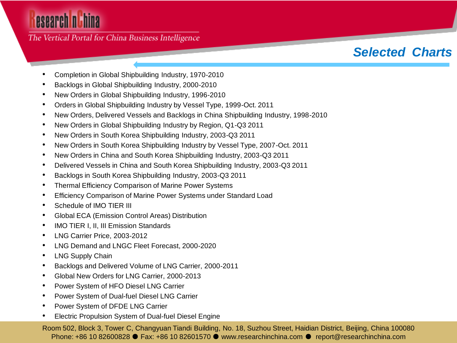The Vertical Portal for China Business Intelligence

### *Selected Charts*

- Completion in Global Shipbuilding Industry, 1970-2010
- Backlogs in Global Shipbuilding Industry, 2000-2010
- New Orders in Global Shipbuilding Industry, 1996-2010
- Orders in Global Shipbuilding Industry by Vessel Type, 1999-Oct. 2011
- New Orders, Delivered Vessels and Backlogs in China Shipbuilding Industry, 1998-2010
- New Orders in Global Shipbuilding Industry by Region, Q1-Q3 2011
- New Orders in South Korea Shipbuilding Industry, 2003-Q3 2011
- New Orders in South Korea Shipbuilding Industry by Vessel Type, 2007-Oct. 2011
- New Orders in China and South Korea Shipbuilding Industry, 2003-Q3 2011
- Delivered Vessels in China and South Korea Shipbuilding Industry, 2003-Q3 2011
- Backlogs in South Korea Shipbuilding Industry, 2003-Q3 2011
- Thermal Efficiency Comparison of Marine Power Systems
- Efficiency Comparison of Marine Power Systems under Standard Load
- Schedule of IMO TIER III
- Global ECA (Emission Control Areas) Distribution
- IMO TIER I, II, III Emission Standards
- LNG Carrier Price, 2003-2012
- LNG Demand and LNGC Fleet Forecast, 2000-2020
- LNG Supply Chain
- Backlogs and Delivered Volume of LNG Carrier, 2000-2011
- Global New Orders for LNG Carrier, 2000-2013
- Power System of HFO Diesel LNG Carrier
- Power System of Dual-fuel Diesel LNG Carrier
- Power System of DFDE LNG Carrier
- Electric Propulsion System of Dual-fuel Diesel Engine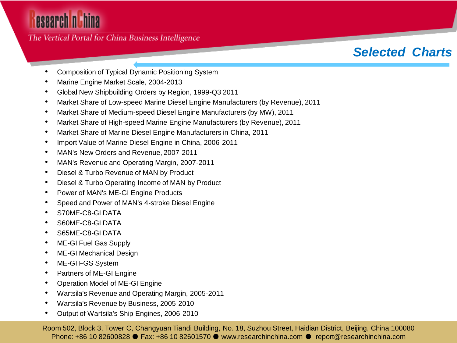### The Vertical Portal for China Business Intelligence

### *Selected Charts*

- Composition of Typical Dynamic Positioning System
- Marine Engine Market Scale, 2004-2013
- Global New Shipbuilding Orders by Region, 1999-Q3 2011
- Market Share of Low-speed Marine Diesel Engine Manufacturers (by Revenue), 2011
- Market Share of Medium-speed Diesel Engine Manufacturers (by MW), 2011
- Market Share of High-speed Marine Engine Manufacturers (by Revenue), 2011
- Market Share of Marine Diesel Engine Manufacturers in China, 2011
- Import Value of Marine Diesel Engine in China, 2006-2011
- MAN's New Orders and Revenue, 2007-2011
- MAN's Revenue and Operating Margin, 2007-2011
- Diesel & Turbo Revenue of MAN by Product
- Diesel & Turbo Operating Income of MAN by Product
- Power of MAN's ME-GI Engine Products
- Speed and Power of MAN's 4-stroke Diesel Engine
- S70ME-C8-GI DATA
- S60ME-C8-GI DATA
- S65ME-C8-GI DATA
- ME-GI Fuel Gas Supply
- ME-GI Mechanical Design
- ME-GI FGS System
- Partners of ME-GI Engine
- Operation Model of ME-GI Engine
- Wartsila's Revenue and Operating Margin, 2005-2011
- Wartsila's Revenue by Business, 2005-2010
- Output of Wartsila's Ship Engines, 2006-2010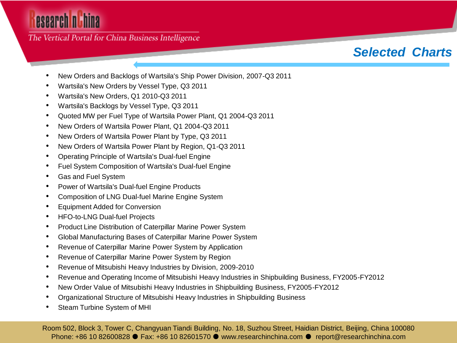The Vertical Portal for China Business Intelligence

### *Selected Charts*

- New Orders and Backlogs of Wartsila's Ship Power Division, 2007-Q3 2011
- Wartsila's New Orders by Vessel Type, Q3 2011
- Wartsila's New Orders, Q1 2010-Q3 2011
- Wartsila's Backlogs by Vessel Type, Q3 2011
- Quoted MW per Fuel Type of Wartsila Power Plant, Q1 2004-Q3 2011
- New Orders of Wartsila Power Plant, Q1 2004-Q3 2011
- New Orders of Wartsila Power Plant by Type, Q3 2011
- New Orders of Wartsila Power Plant by Region, Q1-Q3 2011
- Operating Principle of Wartsila's Dual-fuel Engine
- Fuel System Composition of Wartsila's Dual-fuel Engine
- Gas and Fuel System
- Power of Wartsila's Dual-fuel Engine Products
- Composition of LNG Dual-fuel Marine Engine System
- Equipment Added for Conversion
- HFO-to-LNG Dual-fuel Projects
- Product Line Distribution of Caterpillar Marine Power System
- Global Manufacturing Bases of Caterpillar Marine Power System
- Revenue of Caterpillar Marine Power System by Application
- Revenue of Caterpillar Marine Power System by Region
- Revenue of Mitsubishi Heavy Industries by Division, 2009-2010
- Revenue and Operating Income of Mitsubishi Heavy Industries in Shipbuilding Business, FY2005-FY2012
- New Order Value of Mitsubishi Heavy Industries in Shipbuilding Business, FY2005-FY2012
- Organizational Structure of Mitsubishi Heavy Industries in Shipbuilding Business
- Steam Turbine System of MHI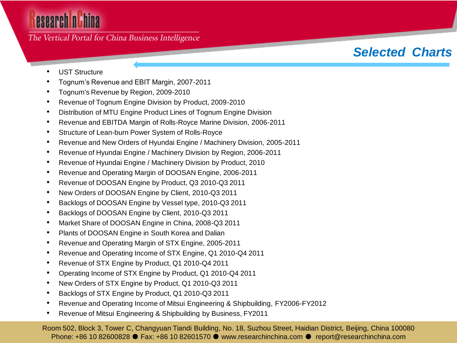The Vertical Portal for China Business Intelligence

### *Selected Charts*

- UST Structure
- Tognum's Revenue and EBIT Margin, 2007-2011
- Tognum's Revenue by Region, 2009-2010
- Revenue of Tognum Engine Division by Product, 2009-2010
- Distribution of MTU Engine Product Lines of Tognum Engine Division
- Revenue and EBITDA Margin of Rolls-Royce Marine Division, 2006-2011
- Structure of Lean-burn Power System of Rolls-Royce
- Revenue and New Orders of Hyundai Engine / Machinery Division, 2005-2011
- Revenue of Hyundai Engine / Machinery Division by Region, 2006-2011
- Revenue of Hyundai Engine / Machinery Division by Product, 2010
- Revenue and Operating Margin of DOOSAN Engine, 2006-2011
- Revenue of DOOSAN Engine by Product, Q3 2010-Q3 2011
- New Orders of DOOSAN Engine by Client, 2010-Q3 2011
- Backlogs of DOOSAN Engine by Vessel type, 2010-Q3 2011
- Backlogs of DOOSAN Engine by Client, 2010-Q3 2011
- Market Share of DOOSAN Engine in China, 2008-Q3 2011
- Plants of DOOSAN Engine in South Korea and Dalian
- Revenue and Operating Margin of STX Engine, 2005-2011
- Revenue and Operating Income of STX Engine, Q1 2010-Q4 2011
- Revenue of STX Engine by Product, Q1 2010-Q4 2011
- Operating Income of STX Engine by Product, Q1 2010-Q4 2011
- New Orders of STX Engine by Product, Q1 2010-Q3 2011
- Backlogs of STX Engine by Product, Q1 2010-Q3 2011
- Revenue and Operating Income of Mitsui Engineering & Shipbuilding, FY2006-FY2012
- Revenue of Mitsui Engineering & Shipbuilding by Business, FY2011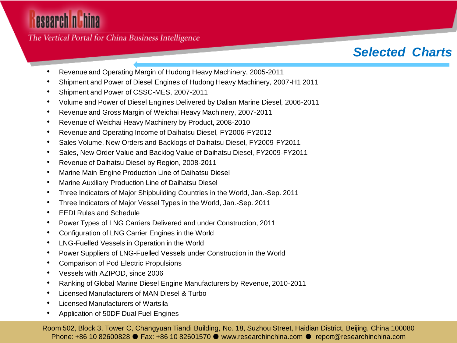The Vertical Portal for China Business Intelligence

### *Selected Charts*

- Revenue and Operating Margin of Hudong Heavy Machinery, 2005-2011
- Shipment and Power of Diesel Engines of Hudong Heavy Machinery, 2007-H1 2011
- Shipment and Power of CSSC-MES, 2007-2011
- Volume and Power of Diesel Engines Delivered by Dalian Marine Diesel, 2006-2011
- Revenue and Gross Margin of Weichai Heavy Machinery, 2007-2011
- Revenue of Weichai Heavy Machinery by Product, 2008-2010
- Revenue and Operating Income of Daihatsu Diesel, FY2006-FY2012
- Sales Volume, New Orders and Backlogs of Daihatsu Diesel, FY2009-FY2011
- Sales, New Order Value and Backlog Value of Daihatsu Diesel, FY2009-FY2011
- Revenue of Daihatsu Diesel by Region, 2008-2011
- Marine Main Engine Production Line of Daihatsu Diesel
- Marine Auxiliary Production Line of Daihatsu Diesel
- Three Indicators of Major Shipbuilding Countries in the World, Jan.-Sep. 2011
- Three Indicators of Major Vessel Types in the World, Jan.-Sep. 2011
- EEDI Rules and Schedule
- Power Types of LNG Carriers Delivered and under Construction, 2011
- Configuration of LNG Carrier Engines in the World
- LNG-Fuelled Vessels in Operation in the World
- Power Suppliers of LNG-Fuelled Vessels under Construction in the World
- Comparison of Pod Electric Propulsions
- Vessels with AZIPOD, since 2006
- Ranking of Global Marine Diesel Engine Manufacturers by Revenue, 2010-2011
- Licensed Manufacturers of MAN Diesel & Turbo
- Licensed Manufacturers of Wartsila
- Application of 50DF Dual Fuel Engines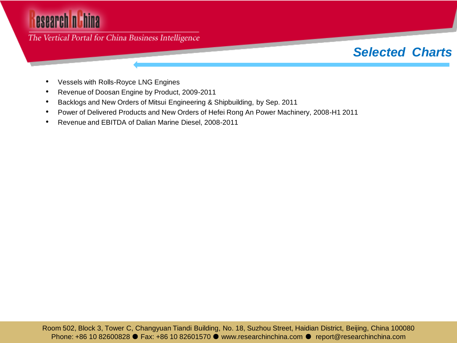### The Vertical Portal for China Business Intelligence

### *Selected Charts*

- Vessels with Rolls-Royce LNG Engines
- Revenue of Doosan Engine by Product, 2009-2011
- Backlogs and New Orders of Mitsui Engineering & Shipbuilding, by Sep. 2011
- Power of Delivered Products and New Orders of Hefei Rong An Power Machinery, 2008-H1 2011
- Revenue and EBITDA of Dalian Marine Diesel, 2008-2011